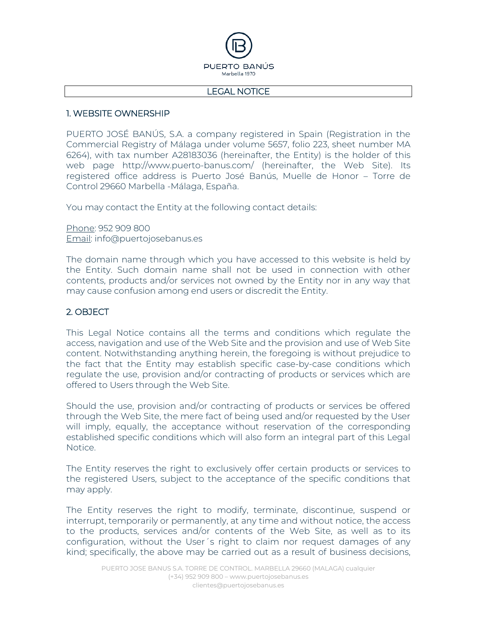

#### LEGAL NOTICE

#### 1. WEBSITE OWNERSHIP

PUERTO JOSÉ BANÚS, S.A. a company registered in Spain (Registration in the Commercial Registry of Málaga under volume 5657, folio 223, sheet number MA 6264), with tax number A28183036 (hereinafter, the Entity) is the holder of this web page http://www.puerto-banus.com/ (hereinafter, the Web Site). Its registered office address is Puerto José Banús, Muelle de Honor – Torre de Control 29660 Marbella -Málaga, España.

You may contact the Entity at the following contact details:

Phone: 952 909 800 Email: info@puertojosebanus.es

The domain name through which you have accessed to this website is held by the Entity. Such domain name shall not be used in connection with other contents, products and/or services not owned by the Entity nor in any way that may cause confusion among end users or discredit the Entity.

## 2. OBJECT

This Legal Notice contains all the terms and conditions which regulate the access, navigation and use of the Web Site and the provision and use of Web Site content. Notwithstanding anything herein, the foregoing is without prejudice to the fact that the Entity may establish specific case-by-case conditions which regulate the use, provision and/or contracting of products or services which are offered to Users through the Web Site.

Should the use, provision and/or contracting of products or services be offered through the Web Site, the mere fact of being used and/or requested by the User will imply, equally, the acceptance without reservation of the corresponding established specific conditions which will also form an integral part of this Legal Notice.

The Entity reserves the right to exclusively offer certain products or services to the registered Users, subject to the acceptance of the specific conditions that may apply.

The Entity reserves the right to modify, terminate, discontinue, suspend or interrupt, temporarily or permanently, at any time and without notice, the access to the products, services and/or contents of the Web Site, as well as to its configuration, without the User´s right to claim nor request damages of any kind; specifically, the above may be carried out as a result of business decisions,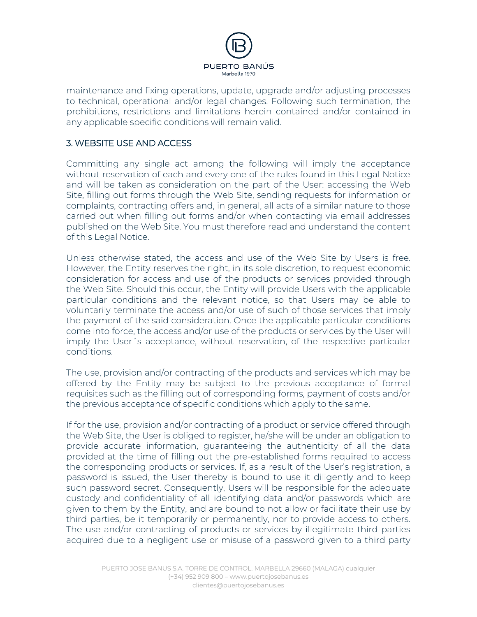

maintenance and fixing operations, update, upgrade and/or adjusting processes to technical, operational and/or legal changes. Following such termination, the prohibitions, restrictions and limitations herein contained and/or contained in any applicable specific conditions will remain valid.

## 3. WEBSITE USE AND ACCESS

Committing any single act among the following will imply the acceptance without reservation of each and every one of the rules found in this Legal Notice and will be taken as consideration on the part of the User: accessing the Web Site, filling out forms through the Web Site, sending requests for information or complaints, contracting offers and, in general, all acts of a similar nature to those carried out when filling out forms and/or when contacting via email addresses published on the Web Site. You must therefore read and understand the content of this Legal Notice.

Unless otherwise stated, the access and use of the Web Site by Users is free. However, the Entity reserves the right, in its sole discretion, to request economic consideration for access and use of the products or services provided through the Web Site. Should this occur, the Entity will provide Users with the applicable particular conditions and the relevant notice, so that Users may be able to voluntarily terminate the access and/or use of such of those services that imply the payment of the said consideration. Once the applicable particular conditions come into force, the access and/or use of the products or services by the User will imply the User´s acceptance, without reservation, of the respective particular conditions.

The use, provision and/or contracting of the products and services which may be offered by the Entity may be subject to the previous acceptance of formal requisites such as the filling out of corresponding forms, payment of costs and/or the previous acceptance of specific conditions which apply to the same.

If for the use, provision and/or contracting of a product or service offered through the Web Site, the User is obliged to register, he/she will be under an obligation to provide accurate information, guaranteeing the authenticity of all the data provided at the time of filling out the pre-established forms required to access the corresponding products or services. If, as a result of the User's registration, a password is issued, the User thereby is bound to use it diligently and to keep such password secret. Consequently, Users will be responsible for the adequate custody and confidentiality of all identifying data and/or passwords which are given to them by the Entity, and are bound to not allow or facilitate their use by third parties, be it temporarily or permanently, nor to provide access to others. The use and/or contracting of products or services by illegitimate third parties acquired due to a negligent use or misuse of a password given to a third party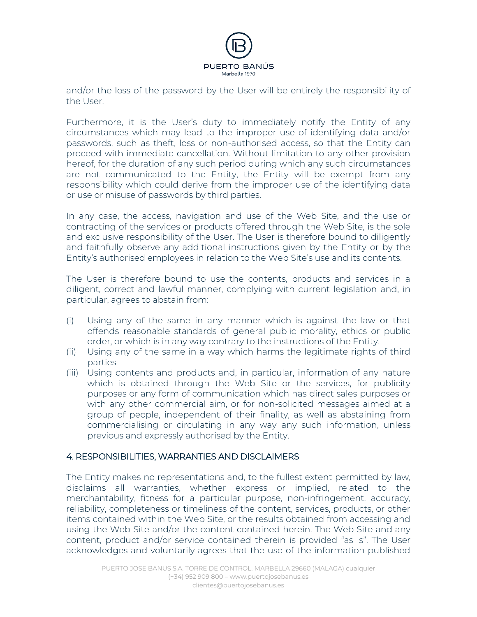

and/or the loss of the password by the User will be entirely the responsibility of the User.

Furthermore, it is the User's duty to immediately notify the Entity of any circumstances which may lead to the improper use of identifying data and/or passwords, such as theft, loss or non-authorised access, so that the Entity can proceed with immediate cancellation. Without limitation to any other provision hereof, for the duration of any such period during which any such circumstances are not communicated to the Entity, the Entity will be exempt from any responsibility which could derive from the improper use of the identifying data or use or misuse of passwords by third parties.

In any case, the access, navigation and use of the Web Site, and the use or contracting of the services or products offered through the Web Site, is the sole and exclusive responsibility of the User. The User is therefore bound to diligently and faithfully observe any additional instructions given by the Entity or by the Entity's authorised employees in relation to the Web Site's use and its contents.

The User is therefore bound to use the contents, products and services in a diligent, correct and lawful manner, complying with current legislation and, in particular, agrees to abstain from:

- (i) Using any of the same in any manner which is against the law or that offends reasonable standards of general public morality, ethics or public order, or which is in any way contrary to the instructions of the Entity.
- (ii) Using any of the same in a way which harms the legitimate rights of third parties
- (iii) Using contents and products and, in particular, information of any nature which is obtained through the Web Site or the services, for publicity purposes or any form of communication which has direct sales purposes or with any other commercial aim, or for non-solicited messages aimed at a group of people, independent of their finality, as well as abstaining from commercialising or circulating in any way any such information, unless previous and expressly authorised by the Entity.

## 4. RESPONSIBILITIES, WARRANTIES AND DISCLAIMERS

The Entity makes no representations and, to the fullest extent permitted by law, disclaims all warranties, whether express or implied, related to the merchantability, fitness for a particular purpose, non-infringement, accuracy, reliability, completeness or timeliness of the content, services, products, or other items contained within the Web Site, or the results obtained from accessing and using the Web Site and/or the content contained herein. The Web Site and any content, product and/or service contained therein is provided "as is". The User acknowledges and voluntarily agrees that the use of the information published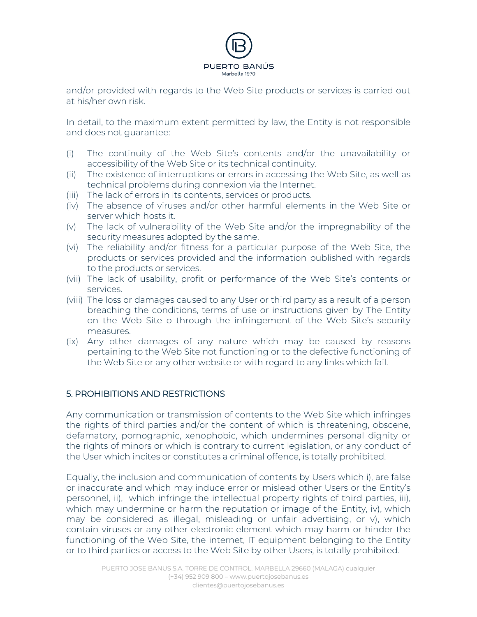

and/or provided with regards to the Web Site products or services is carried out at his/her own risk.

In detail, to the maximum extent permitted by law, the Entity is not responsible and does not guarantee:

- (i) The continuity of the Web Site's contents and/or the unavailability or accessibility of the Web Site or its technical continuity.
- (ii) The existence of interruptions or errors in accessing the Web Site, as well as technical problems during connexion via the Internet.
- (iii) The lack of errors in its contents, services or products.
- (iv) The absence of viruses and/or other harmful elements in the Web Site or server which hosts it.
- (v) The lack of vulnerability of the Web Site and/or the impregnability of the security measures adopted by the same.
- (vi) The reliability and/or fitness for a particular purpose of the Web Site, the products or services provided and the information published with regards to the products or services.
- (vii) The lack of usability, profit or performance of the Web Site's contents or services.
- (viii) The loss or damages caused to any User or third party as a result of a person breaching the conditions, terms of use or instructions given by The Entity on the Web Site o through the infringement of the Web Site's security measures.
- (ix) Any other damages of any nature which may be caused by reasons pertaining to the Web Site not functioning or to the defective functioning of the Web Site or any other website or with regard to any links which fail.

## 5. PROHIBITIONS AND RESTRICTIONS

Any communication or transmission of contents to the Web Site which infringes the rights of third parties and/or the content of which is threatening, obscene, defamatory, pornographic, xenophobic, which undermines personal dignity or the rights of minors or which is contrary to current legislation, or any conduct of the User which incites or constitutes a criminal offence, is totally prohibited.

Equally, the inclusion and communication of contents by Users which i), are false or inaccurate and which may induce error or mislead other Users or the Entity's personnel, ii), which infringe the intellectual property rights of third parties, iii), which may undermine or harm the reputation or image of the Entity, iv), which may be considered as illegal, misleading or unfair advertising, or v), which contain viruses or any other electronic element which may harm or hinder the functioning of the Web Site, the internet, IT equipment belonging to the Entity or to third parties or access to the Web Site by other Users, is totally prohibited.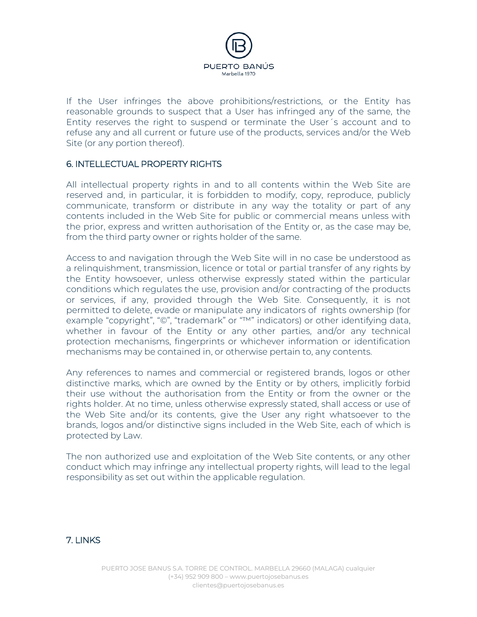

If the User infringes the above prohibitions/restrictions, or the Entity has reasonable grounds to suspect that a User has infringed any of the same, the Entity reserves the right to suspend or terminate the User´s account and to refuse any and all current or future use of the products, services and/or the Web Site (or any portion thereof).

## 6. INTELLECTUAL PROPERTY RIGHTS

All intellectual property rights in and to all contents within the Web Site are reserved and, in particular, it is forbidden to modify, copy, reproduce, publicly communicate, transform or distribute in any way the totality or part of any contents included in the Web Site for public or commercial means unless with the prior, express and written authorisation of the Entity or, as the case may be, from the third party owner or rights holder of the same.

Access to and navigation through the Web Site will in no case be understood as a relinquishment, transmission, licence or total or partial transfer of any rights by the Entity howsoever, unless otherwise expressly stated within the particular conditions which regulates the use, provision and/or contracting of the products or services, if any, provided through the Web Site. Consequently, it is not permitted to delete, evade or manipulate any indicators of rights ownership (for example "copyright", "©", "trademark" or "™" indicators) or other identifying data, whether in favour of the Entity or any other parties, and/or any technical protection mechanisms, fingerprints or whichever information or identification mechanisms may be contained in, or otherwise pertain to, any contents.

Any references to names and commercial or registered brands, logos or other distinctive marks, which are owned by the Entity or by others, implicitly forbid their use without the authorisation from the Entity or from the owner or the rights holder. At no time, unless otherwise expressly stated, shall access or use of the Web Site and/or its contents, give the User any right whatsoever to the brands, logos and/or distinctive signs included in the Web Site, each of which is protected by Law.

The non authorized use and exploitation of the Web Site contents, or any other conduct which may infringe any intellectual property rights, will lead to the legal responsibility as set out within the applicable regulation.

## 7. LINKS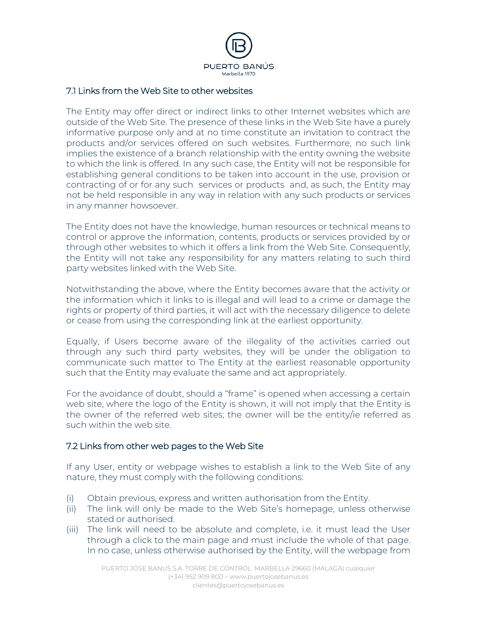

## 7.1 Links from the Web Site to other websites

The Entity may offer direct or indirect links to other Internet websites which are outside of the Web Site. The presence of these links in the Web Site have a purely informative purpose only and at no time constitute an invitation to contract the products and/or services offered on such websites. Furthermore, no such link implies the existence of a branch relationship with the entity owning the website to which the link is offered. In any such case, the Entity will not be responsible for establishing general conditions to be taken into account in the use, provision or contracting of or for any such services or products and, as such, the Entity may not be held responsible in any way in relation with any such products or services in any manner howsoever.

The Entity does not have the knowledge, human resources or technical means to control or approve the information, contents, products or services provided by or through other websites to which it offers a link from the Web Site. Consequently, the Entity will not take any responsibility for any matters relating to such third party websites linked with the Web Site.

Notwithstanding the above, where the Entity becomes aware that the activity or the information which it links to is illegal and will lead to a crime or damage the rights or property of third parties, it will act with the necessary diligence to delete or cease from using the corresponding link at the earliest opportunity.

Equally, if Users become aware of the illegality of the activities carried out through any such third party websites, they will be under the obligation to communicate such matter to The Entity at the earliest reasonable opportunity such that the Entity may evaluate the same and act appropriately.

For the avoidance of doubt, should a "frame" is opened when accessing a certain web site, where the logo of the Entity is shown, it will not imply that the Entity is the owner of the referred web sites; the owner will be the entity/ie referred as such within the web site.

## 7.2 Links from other web pages to the Web Site

If any User, entity or webpage wishes to establish a link to the Web Site of any nature, they must comply with the following conditions:

- (i) Obtain previous, express and written authorisation from the Entity.
- (ii) The link will only be made to the Web Site's homepage, unless otherwise stated or authorised.
- (iii) The link will need to be absolute and complete, i.e. it must lead the User through a click to the main page and must include the whole of that page. In no case, unless otherwise authorised by the Entity, will the webpage from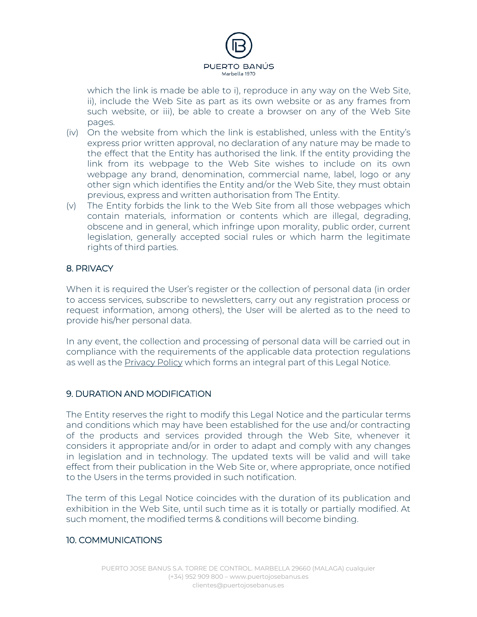

which the link is made be able to i), reproduce in any way on the Web Site, ii), include the Web Site as part as its own website or as any frames from such website, or iii), be able to create a browser on any of the Web Site pages.

- (iv) On the website from which the link is established, unless with the Entity's express prior written approval, no declaration of any nature may be made to the effect that the Entity has authorised the link. If the entity providing the link from its webpage to the Web Site wishes to include on its own webpage any brand, denomination, commercial name, label, logo or any other sign which identifies the Entity and/or the Web Site, they must obtain previous, express and written authorisation from The Entity.
- (v) The Entity forbids the link to the Web Site from all those webpages which contain materials, information or contents which are illegal, degrading, obscene and in general, which infringe upon morality, public order, current legislation, generally accepted social rules or which harm the legitimate rights of third parties.

# 8. PRIVACY

When it is required the User's register or the collection of personal data (in order to access services, subscribe to newsletters, carry out any registration process or request information, among others), the User will be alerted as to the need to provide his/her personal data.

In any event, the collection and processing of personal data will be carried out in compliance with the requirements of the applicable data protection regulations as well as the Privacy Policy which forms an integral part of this Legal Notice.

## 9. DURATION AND MODIFICATION

The Entity reserves the right to modify this Legal Notice and the particular terms and conditions which may have been established for the use and/or contracting of the products and services provided through the Web Site, whenever it considers it appropriate and/or in order to adapt and comply with any changes in legislation and in technology. The updated texts will be valid and will take effect from their publication in the Web Site or, where appropriate, once notified to the Users in the terms provided in such notification.

The term of this Legal Notice coincides with the duration of its publication and exhibition in the Web Site, until such time as it is totally or partially modified. At such moment, the modified terms & conditions will become binding.

# 10. COMMUNICATIONS